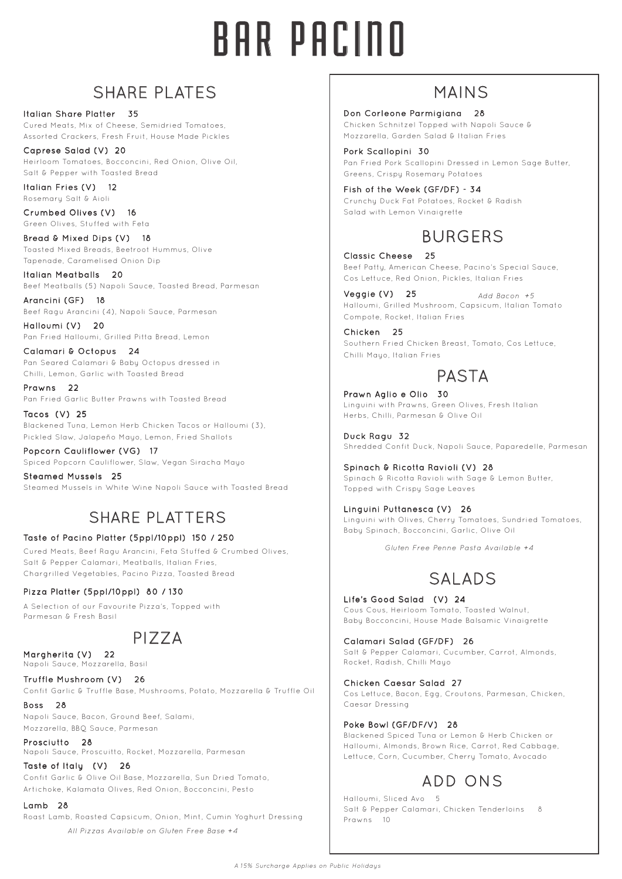# BAR PACINO

# SHARE PLATES

Italian Share Platter 35 Cured Meats, Mix of Cheese, Semidried Tomatoes, Assorted Crackers, Fresh Fruit, House Made Pickles

Caprese Salad (V) 20 Heirloom Tomatoes, Bocconcini, Red Onion, Olive Oil, Salt & Pepper with Toasted Bread

Italian Fries (V) 12 Rosemary Salt & Aioli

Crumbed Olives (V) 16 Green Olives, Stuffed with Feta

Bread & Mixed Dips (V) 18 Toasted Mixed Breads, Beetroot Hummus, Olive Tapenade, Caramelised Onion Dip

Italian Meatballs 20 Beef Meatballs (5) Napoli Sauce, Toasted Bread, Parmesan

Arancini (GF) 18 Beef Ragu Arancini (4), Napoli Sauce, Parmesan

Halloumi (V) 20 Pan Fried Halloumi, Grilled Pitta Bread, Lemon

Calamari & Octopus 24 Pan Seared Calamari & Baby Octopus dressed in Chilli, Lemon, Garlic with Toasted Bread

Prawns 22 Pan Fried Garlic Butter Prawns with Toasted Bread

Tacos (V) 25 Blackened Tuna, Lemon Herb Chicken Tacos or Halloumi (3), Pickled Slaw, Jalapeño Mayo, Lemon, Fried Shallots

Popcorn Cauliflower (VG) 17 Spiced Popcorn Cauliflower, Slaw, Vegan Siracha Mayo

Steamed Mussels 25 Steamed Mussels in White Wine Napoli Sauce with Toasted Bread

# SHARE PLATTERS

#### Taste of Pacino Platter (5ppl/10ppl) 150 / 250

Cured Meats, Beef Ragu Arancini, Feta Stuffed & Crumbed Olives, Salt & Pepper Calamari, Meatballs, Italian Fries, Chargrilled Vegetables, Pacino Pizza, Toasted Bread

#### Pizza Platter (5ppl/10ppl) 80 / 130

A Selection of our Favourite Pizza's, Topped with Parmesan & Fresh Basil

# PIZZA

Margherita (V) 22 Napoli Sauce, Mozzarella, Basil

Truffle Mushroom (V) 26 Confit Garlic & Truffle Base, Mushrooms, Potato, Mozzarella & Truffle Oil

Boss 28 Napoli Sauce, Bacon, Ground Beef, Salami, Mozzarella, BBQ Sauce, Parmesan

Prosciutto 28 Napoli Sauce, Proscuitto, Rocket, Mozzarella, Parmesan

Taste of Italy (V) 26 Confit Garlic & Olive Oil Base, Mozzarella, Sun Dried Tomato, Artichoke, Kalamata Olives, Red Onion, Bocconcini, Pesto

Lamb 28

*All Pizzas Available on Gluten Free Base +4* Roast Lamb, Roasted Capsicum, Onion, Mint, Cumin Yoghurt Dressing

## MAINS

Don Corleone Parmigiana 28

Chicken Schnitzel Topped with Napoli Sauce & Mozzarella, Garden Salad & Italian Fries

Pork Scallopini 30 Pan Fried Pork Scallopini Dressed in Lemon Sage Butter, Greens, Crispy Rosemary Potatoes

Fish of the Week (GF/DF) - 34 Crunchy Duck Fat Potatoes, Rocket & Radish Salad with Lemon Vinaigrette

# BURGERS

Classic Cheese 25 Beef Patty, American Cheese, Pacino's Special Sauce, Cos Lettuce, Red Onion, Pickles, Italian Fries

Veggie (V) 25 Halloumi, Grilled Mushroom, Capsicum, Italian Tomato Compote, Rocket, Italian Fries *Add Bacon +5*

Chicken 25 Southern Fried Chicken Breast, Tomato, Cos Lettuce, Chilli Mayo, Italian Fries

## PASTA

Prawn Aglio e Olio 30 Linguini with Prawns, Green Olives, Fresh Italian Herbs, Chilli, Parmesan & Olive Oil

Duck Ragu 32 Shredded Confit Duck, Napoli Sauce, Paparedelle, Parmesan

Spinach & Ricotta Ravioli (V) 28 Spinach & Ricotta Ravioli with Sage & Lemon Butter, Topped with Crispy Sage Leaves

Linguini Puttanesca (V) 26 Linguini with Olives, Cherry Tomatoes, Sundried Tomatoes, Baby Spinach, Bocconcini, Garlic, Olive Oil

*Gluten Free Penne Pasta Available +4*

# SALADS

Life's Good Salad (V) 24 Cous Cous, Heirloom Tomato, Toasted Walnut, Baby Bocconcini, House Made Balsamic Vinaigrette

Calamari Salad (GF/DF) 26 Salt & Pepper Calamari, Cucumber, Carrot, Almonds, Rocket, Radish, Chilli Mayo

Chicken Caesar Salad 27 Cos Lettuce, Bacon, Egg, Croutons, Parmesan, Chicken, Caesar Dressing

Poke Bowl (GF/DF/V) 28

Blackened Spiced Tuna or Lemon & Herb Chicken or Halloumi, Almonds, Brown Rice, Carrot, Red Cabbage, Lettuce, Corn, Cucumber, Cherry Tomato, Avocado

## ADD ONS

Halloumi, Sliced Avo 5 Salt & Pepper Calamari, Chicken Tenderloins Prawns 10